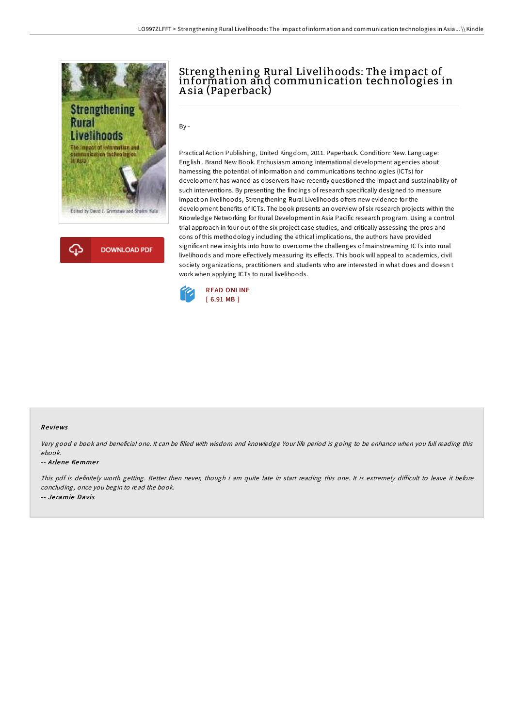

# Strengthening Rural Livelihoods: The impact of information and communication technologies in A sia (Paperback)

By -

Practical Action Publishing, United Kingdom, 2011. Paperback. Condition: New. Language: English . Brand New Book. Enthusiasm among international development agencies about harnessing the potential of information and communications technologies (ICTs) for development has waned as observers have recently questioned the impact and sustainability of such interventions. By presenting the findings ofresearch specifically designed to measure impact on livelihoods, Strengthening Rural Livelihoods offers new evidence for the development benefits of ICTs. The book presents an overview of six research projects within the Knowledge Networking for Rural Development in Asia Pacific research program. Using a control trial approach in four out of the six project case studies, and critically assessing the pros and cons of this methodology including the ethical implications, the authors have provided significant new insights into how to overcome the challenges of mainstreaming ICTs into rural livelihoods and more effectively measuring its effects. This book will appeal to academics, civil society organizations, practitioners and students who are interested in what does and doesn t work when applying ICTs to rural livelihoods.



### Re views

Very good <sup>e</sup> book and beneficial one. It can be filled with wisdom and knowledge Your life period is going to be enhance when you full reading this ebook.

#### -- Arlene Kemmer

This pdf is definitely worth getting. Better then never, though i am quite late in start reading this one. It is extremely difficult to leave it before concluding, once you begin to read the book. -- Je ramie Davis